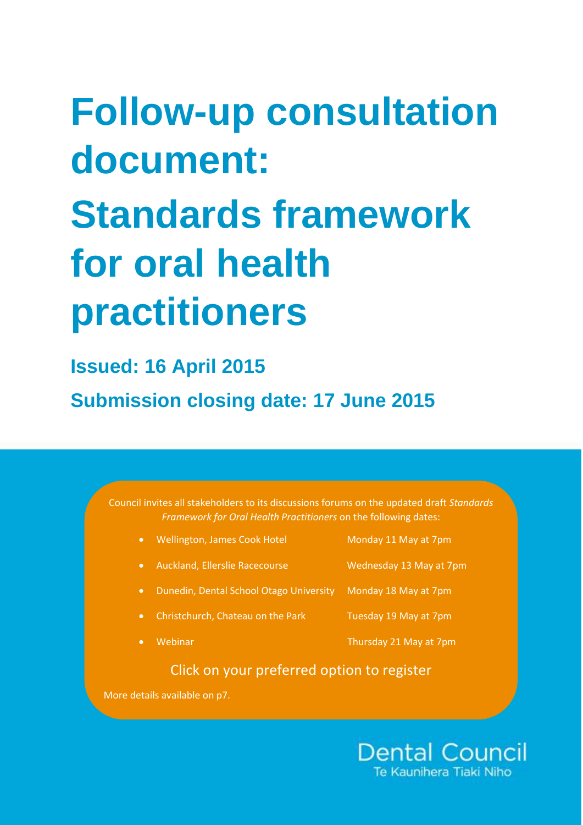# **Follow-up consultation document: Standards framework for oral health practitioners**

**Issued: 16 April 2015 Submission closing date: 17 June 2015**

> Council invites all stakeholders to its discussions forums on the updated draft *Standards Framework for Oral Health Practitioners* on the following dates:

[Wellington, James Cook Hotel](https://www.eventbrite.co.nz/e/standards-framework-discussion-forum-tickets-16590056305) [Monday 11 May at 7pm](https://www.eventbrite.co.nz/e/standards-framework-discussion-forum-tickets-16590056305) • [Auckland, Ellerslie Racecourse Wednesday 13 May at 7pm](https://www.eventbrite.co.nz/e/standards-framework-discussion-forum-tickets-16591110458) [Dunedin, Dental School Otago University Monday 18 May at 7pm](https://www.eventbrite.co.nz/e/standards-framework-discussion-forum-tickets-16591536733) [Christchurch, Chateau on the Park Tuesday 19 May at 7pm](https://www.eventbrite.co.nz/e/standards-framework-discussion-forum-tickets-16591366223) [Webinar Thursday 21 May at 7pm](https://www.eventbrite.co.nz/e/dental-council-standards-framework-discussion-forum-webinar-tickets-16607274806)

# Click on your preferred option to register

More details available on p7.

**Dental Council** Te Kaunihera Tiaki Nih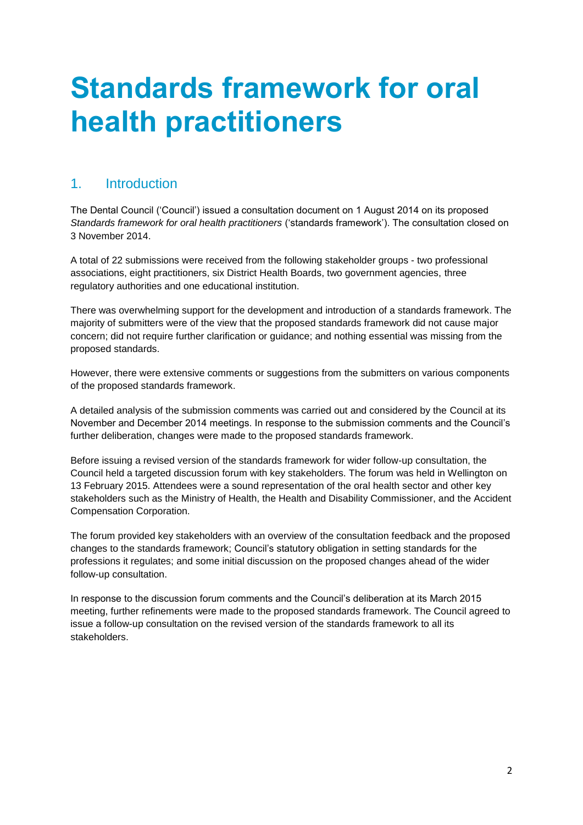# **Standards framework for oral health practitioners**

## 1. Introduction

The Dental Council ('Council') issued a consultation document on 1 August 2014 on its proposed *Standards framework for oral health practitioners* ('standards framework'). The consultation closed on 3 November 2014.

A total of 22 submissions were received from the following stakeholder groups - two professional associations, eight practitioners, six District Health Boards, two government agencies, three regulatory authorities and one educational institution.

There was overwhelming support for the development and introduction of a standards framework. The majority of submitters were of the view that the proposed standards framework did not cause major concern; did not require further clarification or guidance; and nothing essential was missing from the proposed standards.

However, there were extensive comments or suggestions from the submitters on various components of the proposed standards framework.

A detailed analysis of the submission comments was carried out and considered by the Council at its November and December 2014 meetings. In response to the submission comments and the Council's further deliberation, changes were made to the proposed standards framework.

Before issuing a revised version of the standards framework for wider follow-up consultation, the Council held a targeted discussion forum with key stakeholders. The forum was held in Wellington on 13 February 2015. Attendees were a sound representation of the oral health sector and other key stakeholders such as the Ministry of Health, the Health and Disability Commissioner, and the Accident Compensation Corporation.

The forum provided key stakeholders with an overview of the consultation feedback and the proposed changes to the standards framework; Council's statutory obligation in setting standards for the professions it regulates; and some initial discussion on the proposed changes ahead of the wider follow-up consultation.

In response to the discussion forum comments and the Council's deliberation at its March 2015 meeting, further refinements were made to the proposed standards framework. The Council agreed to issue a follow-up consultation on the revised version of the standards framework to all its stakeholders.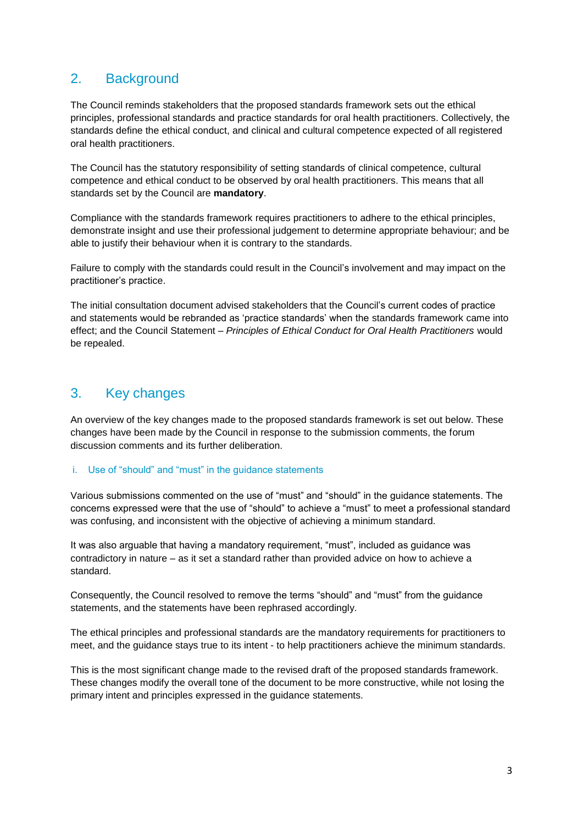# 2. Background

The Council reminds stakeholders that the proposed standards framework sets out the ethical principles, professional standards and practice standards for oral health practitioners. Collectively, the standards define the ethical conduct, and clinical and cultural competence expected of all registered oral health practitioners.

The Council has the statutory responsibility of setting standards of clinical competence, cultural competence and ethical conduct to be observed by oral health practitioners. This means that all standards set by the Council are **mandatory**.

Compliance with the standards framework requires practitioners to adhere to the ethical principles, demonstrate insight and use their professional judgement to determine appropriate behaviour; and be able to justify their behaviour when it is contrary to the standards.

Failure to comply with the standards could result in the Council's involvement and may impact on the practitioner's practice.

The initial consultation document advised stakeholders that the Council's current codes of practice and statements would be rebranded as 'practice standards' when the standards framework came into effect; and the Council Statement *– Principles of Ethical Conduct for Oral Health Practitioners* would be repealed.

# 3. Key changes

An overview of the key changes made to the proposed standards framework is set out below. These changes have been made by the Council in response to the submission comments, the forum discussion comments and its further deliberation.

#### i. Use of "should" and "must" in the guidance statements

Various submissions commented on the use of "must" and "should" in the guidance statements. The concerns expressed were that the use of "should" to achieve a "must" to meet a professional standard was confusing, and inconsistent with the objective of achieving a minimum standard.

It was also arguable that having a mandatory requirement, "must", included as guidance was contradictory in nature – as it set a standard rather than provided advice on how to achieve a standard.

Consequently, the Council resolved to remove the terms "should" and "must" from the guidance statements, and the statements have been rephrased accordingly.

The ethical principles and professional standards are the mandatory requirements for practitioners to meet, and the guidance stays true to its intent - to help practitioners achieve the minimum standards.

This is the most significant change made to the revised draft of the proposed standards framework. These changes modify the overall tone of the document to be more constructive, while not losing the primary intent and principles expressed in the guidance statements.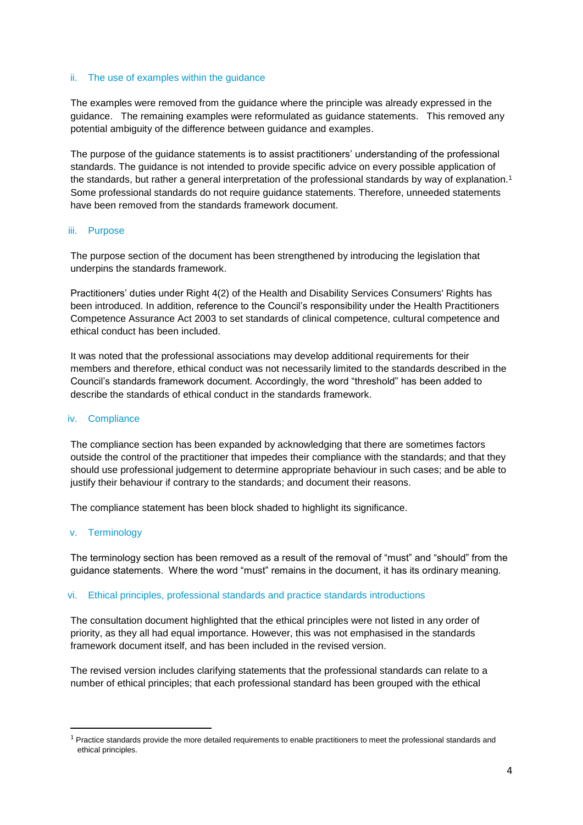#### ii. The use of examples within the guidance

The examples were removed from the guidance where the principle was already expressed in the guidance. The remaining examples were reformulated as guidance statements. This removed any potential ambiguity of the difference between guidance and examples.

The purpose of the guidance statements is to assist practitioners' understanding of the professional standards. The guidance is not intended to provide specific advice on every possible application of the standards, but rather a general interpretation of the professional standards by way of explanation.<sup>1</sup> Some professional standards do not require guidance statements. Therefore, unneeded statements have been removed from the standards framework document.

#### iii. Purpose

The purpose section of the document has been strengthened by introducing the legislation that underpins the standards framework.

Practitioners' duties under Right 4(2) of the Health and Disability Services Consumers' Rights has been introduced. In addition, reference to the Council's responsibility under the Health Practitioners Competence Assurance Act 2003 to set standards of clinical competence, cultural competence and ethical conduct has been included.

It was noted that the professional associations may develop additional requirements for their members and therefore, ethical conduct was not necessarily limited to the standards described in the Council's standards framework document. Accordingly, the word "threshold" has been added to describe the standards of ethical conduct in the standards framework.

#### iv. Compliance

The compliance section has been expanded by acknowledging that there are sometimes factors outside the control of the practitioner that impedes their compliance with the standards; and that they should use professional judgement to determine appropriate behaviour in such cases; and be able to justify their behaviour if contrary to the standards; and document their reasons.

The compliance statement has been block shaded to highlight its significance.

#### v. Terminology

1

The terminology section has been removed as a result of the removal of "must" and "should" from the guidance statements. Where the word "must" remains in the document, it has its ordinary meaning.

#### vi. Ethical principles, professional standards and practice standards introductions

The consultation document highlighted that the ethical principles were not listed in any order of priority, as they all had equal importance. However, this was not emphasised in the standards framework document itself, and has been included in the revised version.

The revised version includes clarifying statements that the professional standards can relate to a number of ethical principles; that each professional standard has been grouped with the ethical

 $1$  Practice standards provide the more detailed requirements to enable practitioners to meet the professional standards and ethical principles.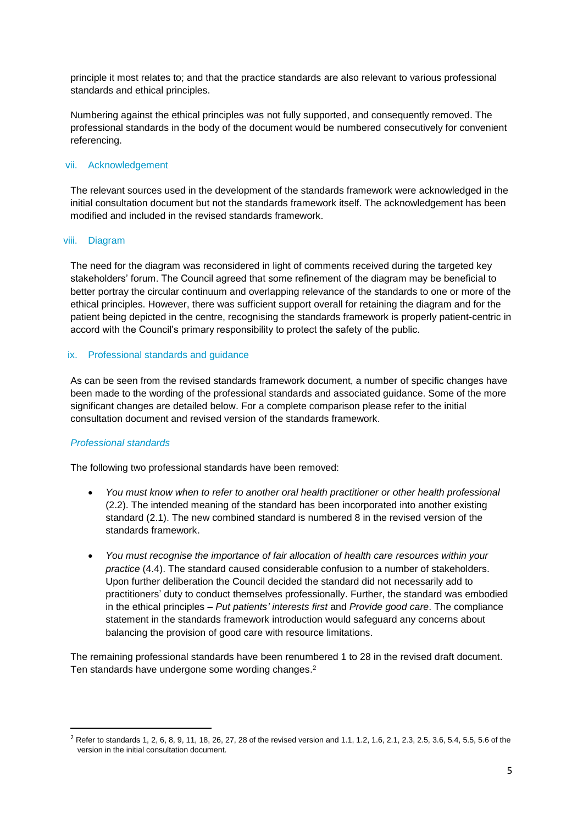principle it most relates to; and that the practice standards are also relevant to various professional standards and ethical principles.

Numbering against the ethical principles was not fully supported, and consequently removed. The professional standards in the body of the document would be numbered consecutively for convenient referencing.

#### vii. Acknowledgement

The relevant sources used in the development of the standards framework were acknowledged in the initial consultation document but not the standards framework itself. The acknowledgement has been modified and included in the revised standards framework.

#### viii. Diagram

The need for the diagram was reconsidered in light of comments received during the targeted key stakeholders' forum. The Council agreed that some refinement of the diagram may be beneficial to better portray the circular continuum and overlapping relevance of the standards to one or more of the ethical principles. However, there was sufficient support overall for retaining the diagram and for the patient being depicted in the centre, recognising the standards framework is properly patient-centric in accord with the Council's primary responsibility to protect the safety of the public.

#### ix. Professional standards and guidance

As can be seen from the revised standards framework document, a number of specific changes have been made to the wording of the professional standards and associated guidance. Some of the more significant changes are detailed below. For a complete comparison please refer to the initial consultation document and revised version of the standards framework.

#### *Professional standards*

1

The following two professional standards have been removed:

- *You must know when to refer to another oral health practitioner or other health professional* (2.2). The intended meaning of the standard has been incorporated into another existing standard (2.1). The new combined standard is numbered 8 in the revised version of the standards framework.
- *You must recognise the importance of fair allocation of health care resources within your practice* (4.4). The standard caused considerable confusion to a number of stakeholders. Upon further deliberation the Council decided the standard did not necessarily add to practitioners' duty to conduct themselves professionally. Further, the standard was embodied in the ethical principles – *Put patients' interests first* and *Provide good care*. The compliance statement in the standards framework introduction would safeguard any concerns about balancing the provision of good care with resource limitations.

The remaining professional standards have been renumbered 1 to 28 in the revised draft document. Ten standards have undergone some wording changes.<sup>2</sup>

<sup>&</sup>lt;sup>2</sup> Refer to standards 1, 2, 6, 8, 9, 11, 18, 26, 27, 28 of the revised version and 1.1, 1.2, 1.6, 2.1, 2.3, 2.5, 3.6, 5.4, 5.5, 5.6 of the version in the initial consultation document.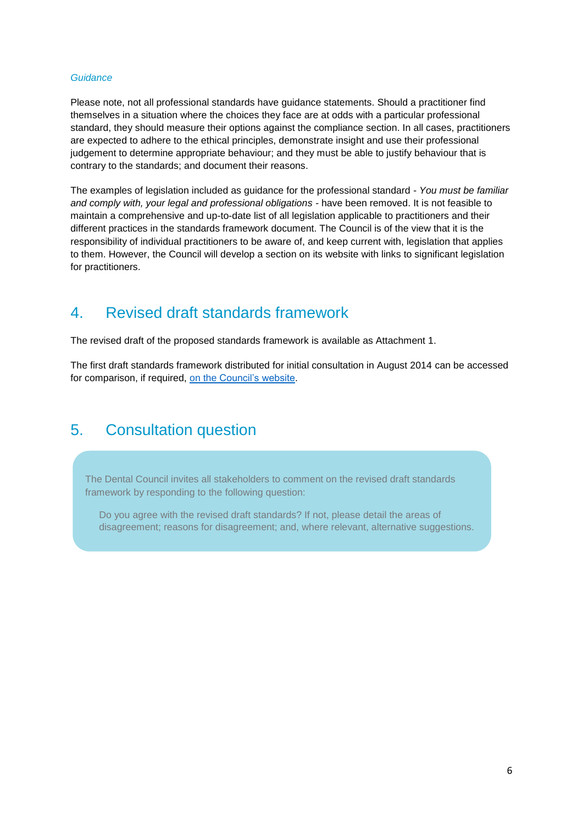#### *Guidance*

Please note, not all professional standards have guidance statements. Should a practitioner find themselves in a situation where the choices they face are at odds with a particular professional standard, they should measure their options against the compliance section. In all cases, practitioners are expected to adhere to the ethical principles, demonstrate insight and use their professional judgement to determine appropriate behaviour; and they must be able to justify behaviour that is contrary to the standards; and document their reasons.

The examples of legislation included as guidance for the professional standard - *You must be familiar and comply with, your legal and professional obligations -* have been removed. It is not feasible to maintain a comprehensive and up-to-date list of all legislation applicable to practitioners and their different practices in the standards framework document. The Council is of the view that it is the responsibility of individual practitioners to be aware of, and keep current with, legislation that applies to them. However, the Council will develop a section on its website with links to significant legislation for practitioners.

# 4. Revised draft standards framework

The revised draft of the proposed standards framework is available as Attachment 1.

The first draft standards framework distributed for initial consultation in August 2014 can be accessed for comparison, if required, [on the Council's website.](http://dcnz.org.nz/assets/Uploads/Consultations/2014/Att1-Draft-Standards-framework-for-OHP.pdf)

# 5. Consultation question

The Dental Council invites all stakeholders to comment on the revised draft standards framework by responding to the following question:

Do you agree with the revised draft standards? If not, please detail the areas of disagreement; reasons for disagreement; and, where relevant, alternative suggestions.